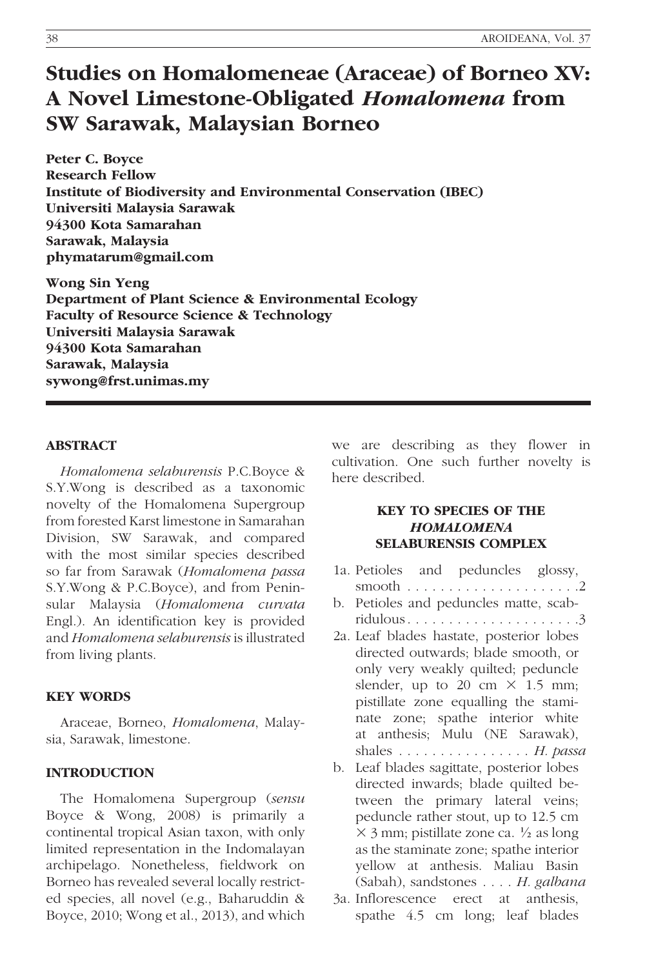# Studies on Homalomeneae (Araceae) of Borneo XV: A Novel Limestone-Obligated Homalomena from SW Sarawak, Malaysian Borneo

Peter C. Boyce Research Fellow Institute of Biodiversity and Environmental Conservation (IBEC) Universiti Malaysia Sarawak 94300 Kota Samarahan Sarawak, Malaysia phymatarum@gmail.com

Wong Sin Yeng Department of Plant Science & Environmental Ecology Faculty of Resource Science & Technology Universiti Malaysia Sarawak 94300 Kota Samarahan Sarawak, Malaysia sywong@frst.unimas.my

## ABSTRACT

Homalomena selaburensis P.C.Boyce & S.Y.Wong is described as a taxonomic novelty of the Homalomena Supergroup from forested Karst limestone in Samarahan Division, SW Sarawak, and compared with the most similar species described so far from Sarawak (Homalomena passa S.Y.Wong & P.C.Boyce), and from Peninsular Malaysia (Homalomena curvata Engl.). An identification key is provided and Homalomena selaburensis is illustrated from living plants.

#### KEY WORDS

Araceae, Borneo, Homalomena, Malaysia, Sarawak, limestone.

#### INTRODUCTION

The Homalomena Supergroup (sensu Boyce & Wong, 2008) is primarily a continental tropical Asian taxon, with only limited representation in the Indomalayan archipelago. Nonetheless, fieldwork on Borneo has revealed several locally restricted species, all novel (e.g., Baharuddin & Boyce, 2010; Wong et al., 2013), and which

we are describing as they flower in cultivation. One such further novelty is here described.

## KEY TO SPECIES OF THE **HOMALOMENA** SELABURENSIS COMPLEX

- 1a. Petioles and peduncles glossy, smooth . . . . . . . . . . . . . . . . . . . . .2
- b. Petioles and peduncles matte, scabridulous. . . . . . . . . . . . . . . . . . . . .3
- 2a. Leaf blades hastate, posterior lobes directed outwards; blade smooth, or only very weakly quilted; peduncle slender, up to 20 cm  $\times$  1.5 mm; pistillate zone equalling the staminate zone; spathe interior white at anthesis; Mulu (NE Sarawak), shales ................ H. passa
- b. Leaf blades sagittate, posterior lobes directed inwards; blade quilted between the primary lateral veins; peduncle rather stout, up to 12.5 cm  $\times$  3 mm; pistillate zone ca.  $\frac{1}{2}$  as long as the staminate zone; spathe interior yellow at anthesis. Maliau Basin (Sabah), sandstones . . . . H. galbana
- 3a. Inflorescence erect at anthesis, spathe 4.5 cm long; leaf blades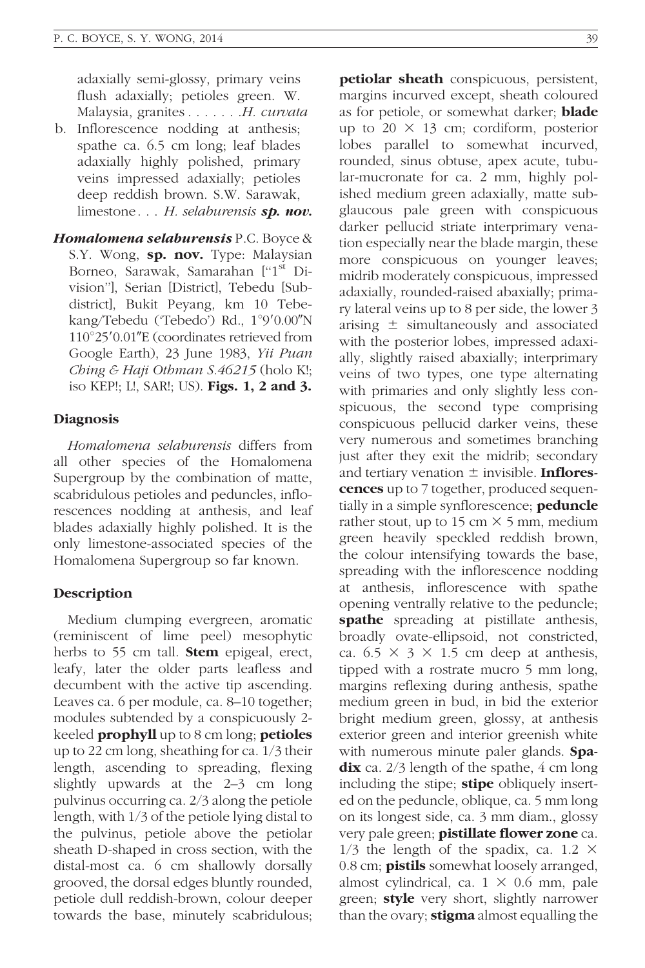adaxially semi-glossy, primary veins flush adaxially; petioles green. W. Malaysia, granites . . . . . . H. curvata

- b. Inflorescence nodding at anthesis; spathe ca. 6.5 cm long; leaf blades adaxially highly polished, primary veins impressed adaxially; petioles deep reddish brown. S.W. Sarawak, limestone... H. selaburensis sp. nov.
- Homalomena selaburensis P.C. Boyce & S.Y. Wong, sp. nov. Type: Malaysian Borneo, Sarawak, Samarahan ["1<sup>st</sup> Division''], Serian [District], Tebedu [Subdistrict], Bukit Peyang, km 10 Tebekang/Tebedu ('Tebedo') Rd., 1°9'0.00"N  $110^{\circ}25'0.01''$ E (coordinates retrieved from Google Earth), 23 June 1983, Yii Puan Ching & Haji Othman S.46215 (holo K!; iso KEP!; L!, SAR!; US). Figs. 1, 2 and 3.

#### **Diagnosis**

Homalomena selaburensis differs from all other species of the Homalomena Supergroup by the combination of matte, scabridulous petioles and peduncles, inflorescences nodding at anthesis, and leaf blades adaxially highly polished. It is the only limestone-associated species of the Homalomena Supergroup so far known.

## Description

Medium clumping evergreen, aromatic (reminiscent of lime peel) mesophytic herbs to 55 cm tall. **Stem** epigeal, erect, leafy, later the older parts leafless and decumbent with the active tip ascending. Leaves ca. 6 per module, ca. 8–10 together; modules subtended by a conspicuously 2 keeled **prophyll** up to 8 cm long; **petioles** up to 22 cm long, sheathing for ca. 1/3 their length, ascending to spreading, flexing slightly upwards at the 2–3 cm long pulvinus occurring ca. 2/3 along the petiole length, with 1/3 of the petiole lying distal to the pulvinus, petiole above the petiolar sheath D-shaped in cross section, with the distal-most ca. 6 cm shallowly dorsally grooved, the dorsal edges bluntly rounded, petiole dull reddish-brown, colour deeper towards the base, minutely scabridulous;

petiolar sheath conspicuous, persistent, margins incurved except, sheath coloured as for petiole, or somewhat darker; **blade** up to  $20 \times 13$  cm; cordiform, posterior lobes parallel to somewhat incurved, rounded, sinus obtuse, apex acute, tubular-mucronate for ca. 2 mm, highly polished medium green adaxially, matte subglaucous pale green with conspicuous darker pellucid striate interprimary venation especially near the blade margin, these more conspicuous on younger leaves; midrib moderately conspicuous, impressed adaxially, rounded-raised abaxially; primary lateral veins up to 8 per side, the lower 3 arising  $\pm$  simultaneously and associated with the posterior lobes, impressed adaxially, slightly raised abaxially; interprimary veins of two types, one type alternating with primaries and only slightly less conspicuous, the second type comprising conspicuous pellucid darker veins, these very numerous and sometimes branching just after they exit the midrib; secondary and tertiary venation  $\pm$  invisible. Inflorescences up to 7 together, produced sequentially in a simple synflorescence; **peduncle** rather stout, up to 15 cm  $\times$  5 mm, medium green heavily speckled reddish brown, the colour intensifying towards the base, spreading with the inflorescence nodding at anthesis, inflorescence with spathe opening ventrally relative to the peduncle; spathe spreading at pistillate anthesis, broadly ovate-ellipsoid, not constricted, ca.  $6.5 \times 3 \times 1.5$  cm deep at anthesis, tipped with a rostrate mucro 5 mm long, margins reflexing during anthesis, spathe medium green in bud, in bid the exterior bright medium green, glossy, at anthesis exterior green and interior greenish white with numerous minute paler glands. Spa- $\mathbf{d}$ ix ca. 2/3 length of the spathe, 4 cm long including the stipe; **stipe** obliquely inserted on the peduncle, oblique, ca. 5 mm long on its longest side, ca. 3 mm diam., glossy very pale green; **pistillate flower zone** ca.  $1/3$  the length of the spadix, ca. 1.2  $\times$ 0.8 cm; **pistils** somewhat loosely arranged, almost cylindrical, ca.  $1 \times 0.6$  mm, pale green; **style** very short, slightly narrower than the ovary; **stigma** almost equalling the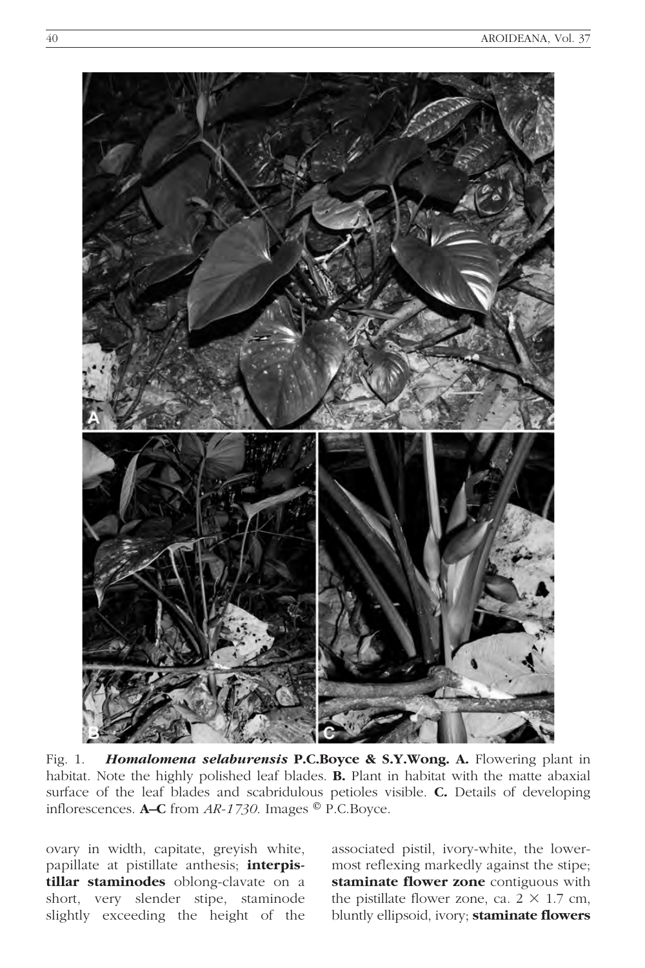

Fig. 1. Homalomena selaburensis P.C.Boyce & S.Y.Wong. A. Flowering plant in habitat. Note the highly polished leaf blades. B. Plant in habitat with the matte abaxial surface of the leaf blades and scabridulous petioles visible. C. Details of developing inflorescences. **A–C** from  $AR-1730$ . Images  $^{\circ}$  P.C.Boyce.

ovary in width, capitate, greyish white, papillate at pistillate anthesis; interpistillar staminodes oblong-clavate on a short, very slender stipe, staminode slightly exceeding the height of the

associated pistil, ivory-white, the lowermost reflexing markedly against the stipe; staminate flower zone contiguous with the pistillate flower zone, ca.  $2 \times 1.7$  cm, bluntly ellipsoid, ivory; staminate flowers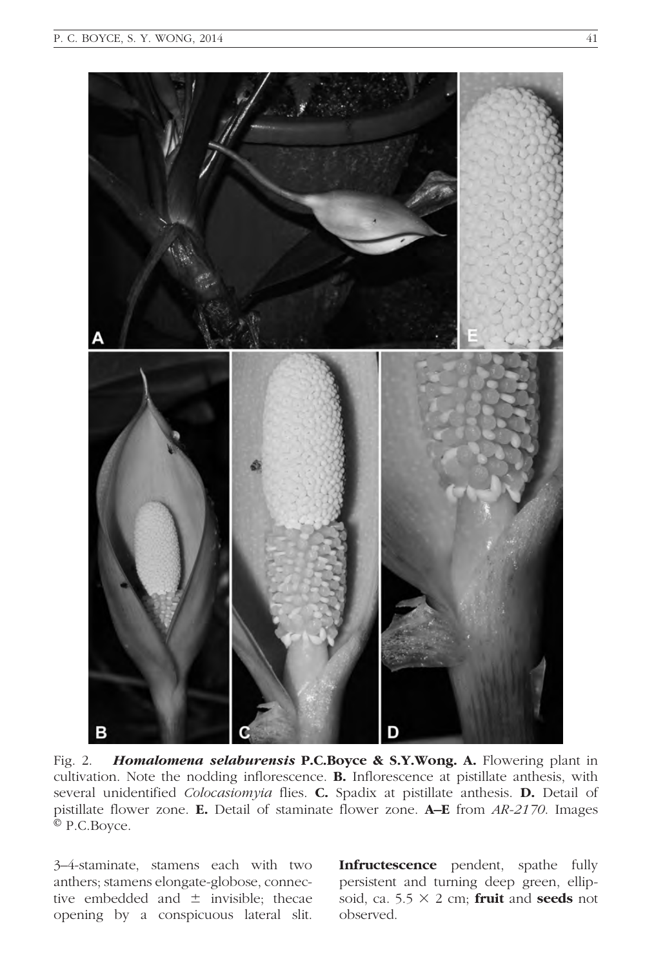

Fig. 2. **Homalomena selaburensis P.C.Boyce & S.Y.Wong. A.** Flowering plant in cultivation. Note the nodding inflorescence. B. Inflorescence at pistillate anthesis, with several unidentified Colocasiomyia flies. C. Spadix at pistillate anthesis. D. Detail of pistillate flower zone. E. Detail of staminate flower zone. A–E from AR-2170. Images © P.C.Boyce.

3–4-staminate, stamens each with two anthers; stamens elongate-globose, connective embedded and  $\pm$  invisible; thecae opening by a conspicuous lateral slit. Infructescence pendent, spathe fully persistent and turning deep green, ellipsoid, ca. 5.5  $\times$  2 cm; **fruit** and **seeds** not observed.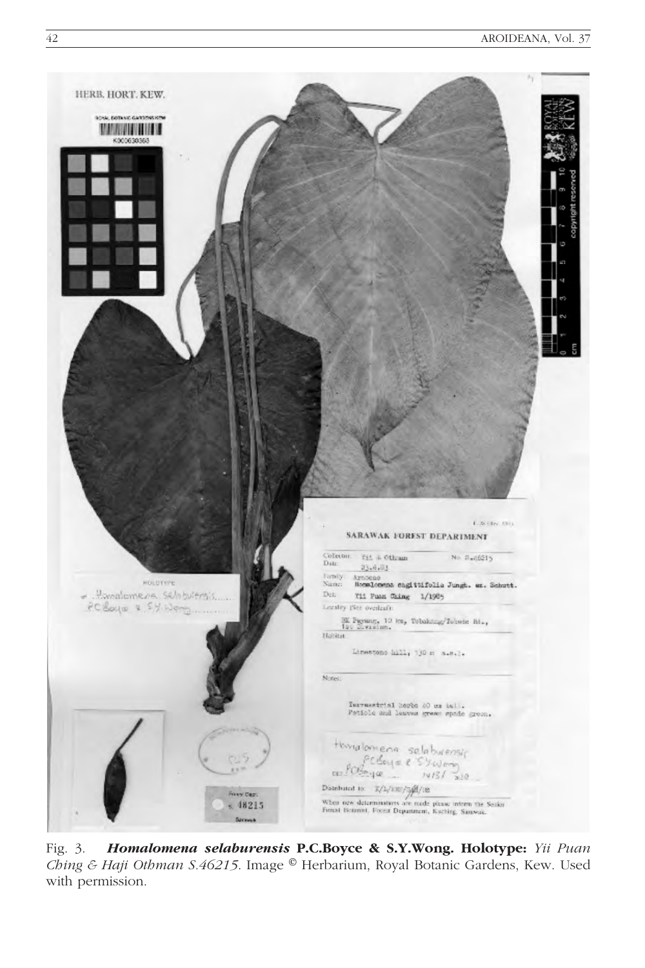

Fig. 3. Homalomena selaburensis P.C.Boyce & S.Y.Wong. Holotype: Yii Puan Ching & Haji Othman S.46215. Image ® Herbarium, Royal Botanic Gardens, Kew. Used with permission.